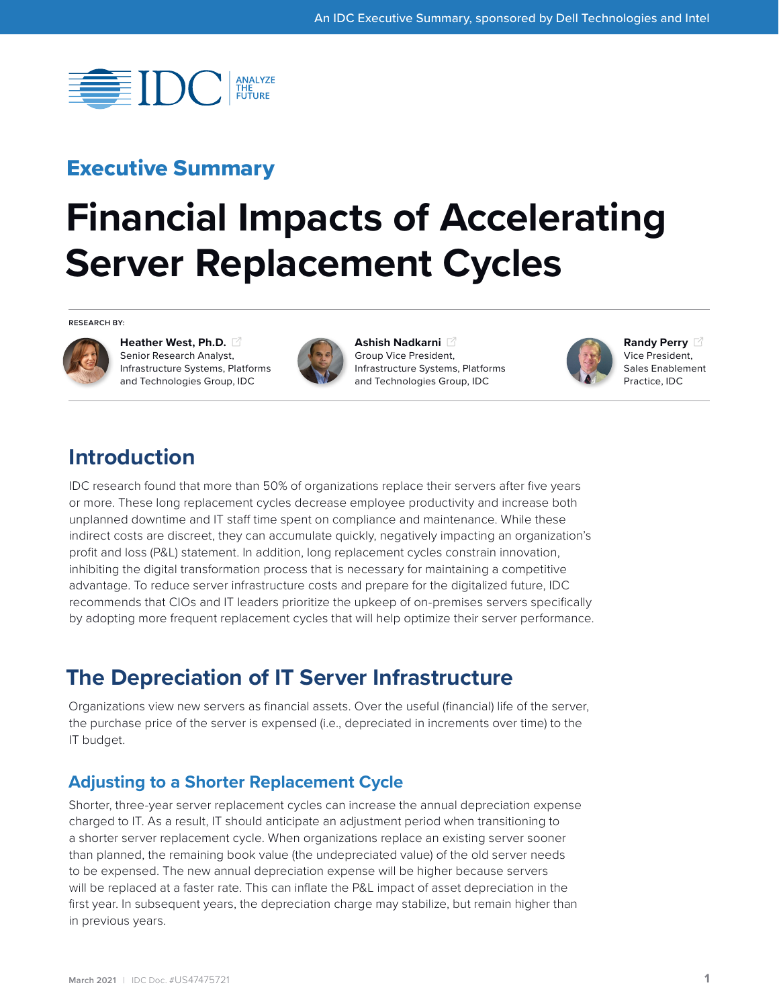

## Executive Summary

# **Financial Impacts of Accelerating Server Replacement Cycles**

**RESEARCH BY:**



**[Heather West, Ph.D.](https://www.idc.com/getdoc.jsp?containerId=PRF005205)**  Senior Research Analyst, Infrastructure Systems, Platforms and Technologies Group, IDC



**[Ashish Nadkarni](https://www.idc.com/getdoc.jsp?containerId=PRF003977)**  Group Vice President, Infrastructure Systems, Platforms and Technologies Group, IDC



**[Randy Perry](https://www.idc.com/getdoc.jsp?containerId=PRF000308)**  Vice President, Sales Enablement Practice, IDC

## **Introduction**

IDC research found that more than 50% of organizations replace their servers after five years or more. These long replacement cycles decrease employee productivity and increase both unplanned downtime and IT staff time spent on compliance and maintenance. While these indirect costs are discreet, they can accumulate quickly, negatively impacting an organization's profit and loss (P&L) statement. In addition, long replacement cycles constrain innovation, inhibiting the digital transformation process that is necessary for maintaining a competitive advantage. To reduce server infrastructure costs and prepare for the digitalized future, IDC recommends that CIOs and IT leaders prioritize the upkeep of on-premises servers specifically by adopting more frequent replacement cycles that will help optimize their server performance.

## **The Depreciation of IT Server Infrastructure**

Organizations view new servers as financial assets. Over the useful (financial) life of the server, the purchase price of the server is expensed (i.e., depreciated in increments over time) to the IT budget.

#### **Adjusting to a Shorter Replacement Cycle**

Shorter, three-year server replacement cycles can increase the annual depreciation expense charged to IT. As a result, IT should anticipate an adjustment period when transitioning to a shorter server replacement cycle. When organizations replace an existing server sooner than planned, the remaining book value (the undepreciated value) of the old server needs to be expensed. The new annual depreciation expense will be higher because servers will be replaced at a faster rate. This can inflate the P&L impact of asset depreciation in the first year. In subsequent years, the depreciation charge may stabilize, but remain higher than in previous years.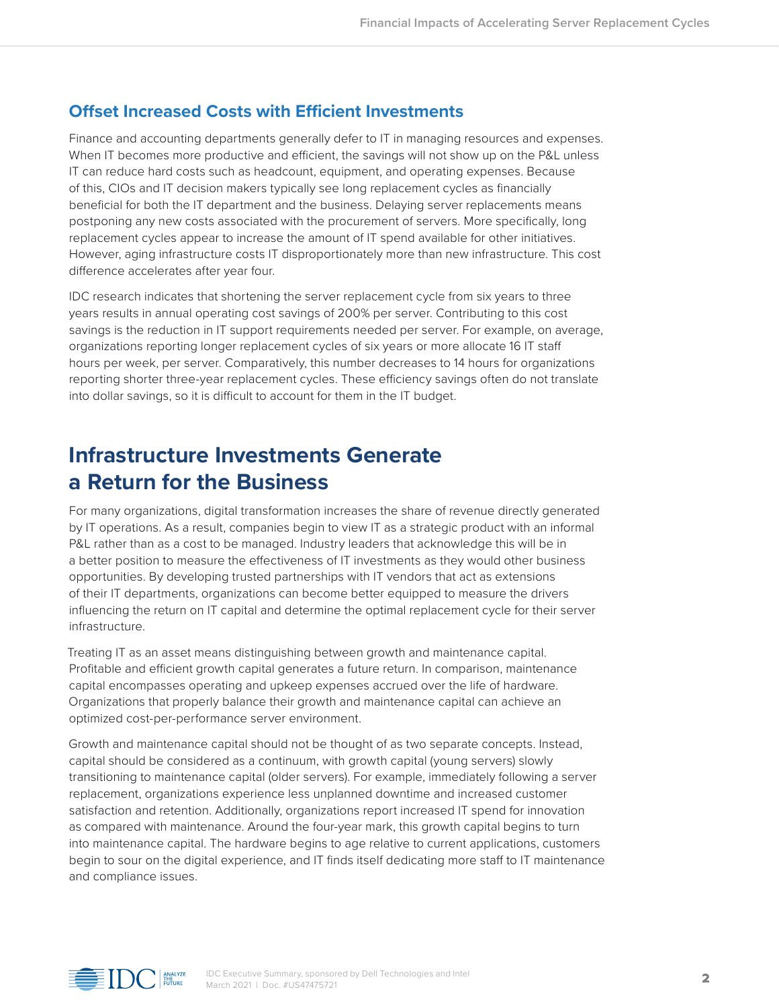#### **Offset Increased Costs with Efficient Investments**

Finance and accounting departments generally defer to IT in managing resources and expenses. When IT becomes more productive and efficient, the savings will not show up on the P&L unless IT can reduce hard costs such as headcount, equipment, and operating expenses. Because of this, CIOs and IT decision makers typically see long replacement cycles as financially beneficial for both the IT department and the business. Delaying server replacements means postponing any new costs associated with the procurement of servers. More specifically, long replacement cycles appear to increase the amount of IT spend available for other initiatives. However, aging infrastructure costs IT disproportionately more than new infrastructure. This cost difference accelerates after year four.

IDC research indicates that shortening the server replacement cycle from six years to three years results in annual operating cost savings of 200% per server. Contributing to this cost savings is the reduction in IT support requirements needed per server. For example, on average, organizations reporting longer replacement cycles of six years or more allocate 16 IT staff hours per week, per server. Comparatively, this number decreases to 14 hours for organizations reporting shorter three-year replacement cycles. These efficiency savings often do not translate into dollar savings, so it is difficult to account for them in the IT budget.

## **Infrastructure Investments Generate a Return for the Business**

For many organizations, digital transformation increases the share of revenue directly generated by IT operations. As a result, companies begin to view IT as a strategic product with an informal P&L rather than as a cost to be managed. Industry leaders that acknowledge this will be in a better position to measure the effectiveness of IT investments as they would other business opportunities. By developing trusted partnerships with IT vendors that act as extensions of their IT departments, organizations can become better equipped to measure the drivers influencing the return on IT capital and determine the optimal replacement cycle for their server infrastructure.

Treating IT as an asset means distinguishing between growth and maintenance capital. Profitable and efficient growth capital generates a future return. In comparison, maintenance capital encompasses operating and upkeep expenses accrued over the life of hardware. Organizations that properly balance their growth and maintenance capital can achieve an optimized cost-per-performance server environment.

Growth and maintenance capital should not be thought of as two separate concepts. Instead, capital should be considered as a continuum, with growth capital (young servers) slowly transitioning to maintenance capital (older servers). For example, immediately following a server replacement, organizations experience less unplanned downtime and increased customer satisfaction and retention. Additionally, organizations report increased IT spend for innovation as compared with maintenance. Around the four-year mark, this growth capital begins to turn into maintenance capital. The hardware begins to age relative to current applications, customers begin to sour on the digital experience, and IT finds itself dedicating more staff to IT maintenance and compliance issues.

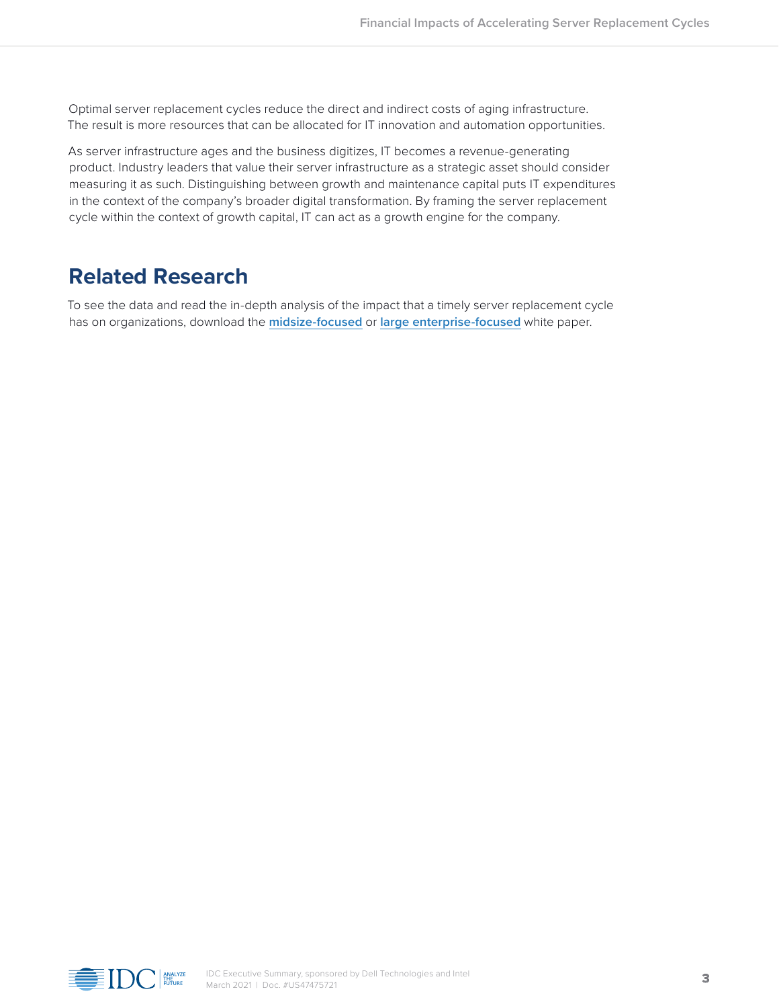Optimal server replacement cycles reduce the direct and indirect costs of aging infrastructure. The result is more resources that can be allocated for IT innovation and automation opportunities.

As server infrastructure ages and the business digitizes, IT becomes a revenue-generating product. Industry leaders that value their server infrastructure as a strategic asset should consider measuring it as such. Distinguishing between growth and maintenance capital puts IT expenditures in the context of the company's broader digital transformation. By framing the server replacement cycle within the context of growth capital, IT can act as a growth engine for the company.

## **Related Research**

To see the data and read the in-depth analysis of the impact that a timely server replacement cycle has on organizations, download the **[midsize-focused](https://www.delltechnologies.com/resources/en-us/asset/white-papers/products/servers/server-infrastructure-resiliency-midsize-whitepaper.pdf)** or **[large enterprise-focused](https://www.delltechnologies.com/resources/en-us/asset/white-papers/products/servers/server-infrastructure-resiliency-enterprise-whitepaper.pdf)** white paper.